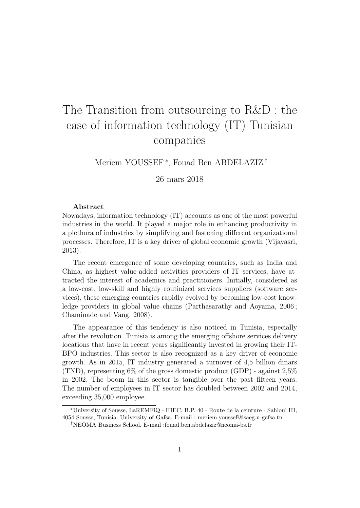## The Transition from outsourcing to R&D : the case of information technology (IT) Tunisian companies

Meriem YOUSSEF<sup>\*</sup>, Fouad Ben ABDELAZIZ<sup>†</sup>

26 mars 2018

## Abstract

Nowadays, information technology (IT) accounts as one of the most powerful industries in the world. It played a major role in enhancing productivity in a plethora of industries by simplifying and fastening different organizational processes. Therefore, IT is a key driver of global economic growth (Vijayasri, 2013).

The recent emergence of some developing countries, such as India and China, as highest value-added activities providers of IT services, have attracted the interest of academics and practitioners. Initially, considered as a low-cost, low-skill and highly routinized services suppliers (software services), these emerging countries rapidly evolved by becoming low-cost knowledge providers in global value chains (Parthasarathy and Aoyama, 2006 ; Chaminade and Vang, 2008).

The appearance of this tendency is also noticed in Tunisia, especially after the revolution. Tunisia is among the emerging offshore services delivery locations that have in recent years significantly invested in growing their IT-BPO industries. This sector is also recognized as a key driver of economic growth. As in 2015, IT industry generated a turnover of 4,5 billion dinars (TND), representing  $6\%$  of the gross domestic product (GDP) - against  $2.5\%$ in 2002. The boom in this sector is tangible over the past fifteen years. The number of employees in IT sector has doubled between 2002 and 2014, exceeding 35,000 employee.

<sup>∗</sup>University of Sousse, LaREMFiQ - IHEC, B.P. 40 - Route de la ceinture - Sahloul III, 4054 Sousse, Tunisia. University of Gafsa. E-mail : meriem.youssef@isaeg.u-gafsa.tn

<sup>†</sup>NEOMA Business School. E-mail :fouad.ben.abdelaziz@neoma-bs.fr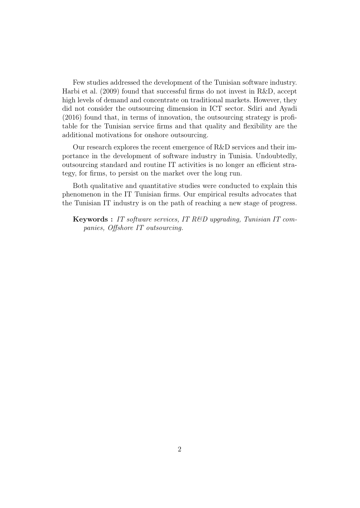Few studies addressed the development of the Tunisian software industry. Harbi et al. (2009) found that successful firms do not invest in R&D, accept high levels of demand and concentrate on traditional markets. However, they did not consider the outsourcing dimension in ICT sector. Sdiri and Ayadi (2016) found that, in terms of innovation, the outsourcing strategy is profitable for the Tunisian service firms and that quality and flexibility are the additional motivations for onshore outsourcing.

Our research explores the recent emergence of R&D services and their importance in the development of software industry in Tunisia. Undoubtedly, outsourcing standard and routine IT activities is no longer an efficient strategy, for firms, to persist on the market over the long run.

Both qualitative and quantitative studies were conducted to explain this phenomenon in the IT Tunisian firms. Our empirical results advocates that the Tunisian IT industry is on the path of reaching a new stage of progress.

Keywords : IT software services, IT R&D upgrading, Tunisian IT companies, Offshore IT outsourcing.